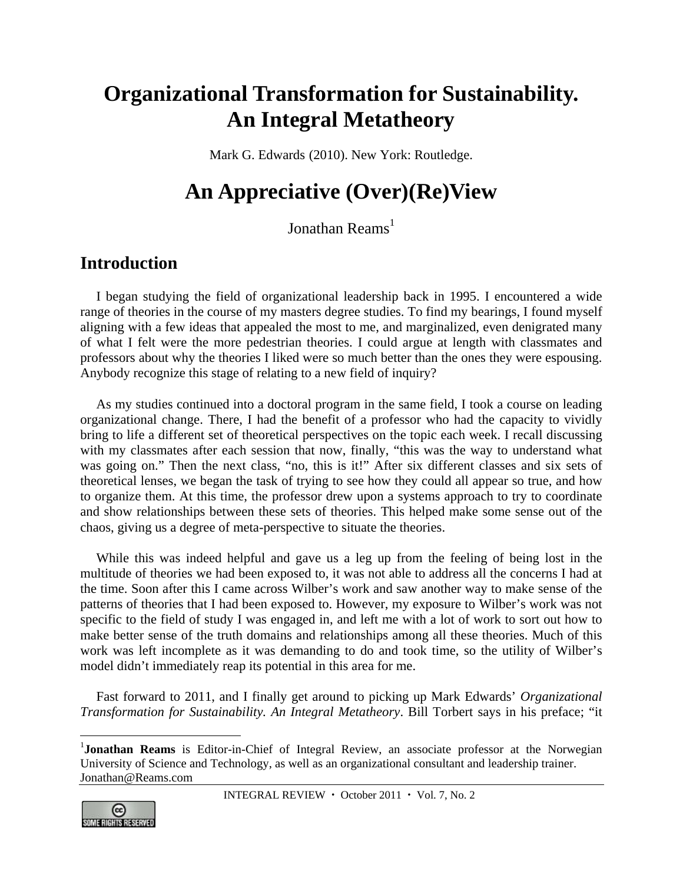# **Organizational Transformation for Sustainability. An Integral Metatheory**

Mark G. Edwards (2010). New York: Routledge.

# **An Appreciative (Over)(Re)View**

Jonathan  $\mathrm{Reams}^1$ 

### **Introduction**

I began studying the field of organizational leadership back in 1995. I encountered a wide range of theories in the course of my masters degree studies. To find my bearings, I found myself aligning with a few ideas that appealed the most to me, and marginalized, even denigrated many of what I felt were the more pedestrian theories. I could argue at length with classmates and professors about why the theories I liked were so much better than the ones they were espousing. Anybody recognize this stage of relating to a new field of inquiry?

As my studies continued into a doctoral program in the same field, I took a course on leading organizational change. There, I had the benefit of a professor who had the capacity to vividly bring to life a different set of theoretical perspectives on the topic each week. I recall discussing with my classmates after each session that now, finally, "this was the way to understand what was going on." Then the next class, "no, this is it!" After six different classes and six sets of theoretical lenses, we began the task of trying to see how they could all appear so true, and how to organize them. At this time, the professor drew upon a systems approach to try to coordinate and show relationships between these sets of theories. This helped make some sense out of the chaos, giving us a degree of meta-perspective to situate the theories.

While this was indeed helpful and gave us a leg up from the feeling of being lost in the multitude of theories we had been exposed to, it was not able to address all the concerns I had at the time. Soon after this I came across Wilber's work and saw another way to make sense of the patterns of theories that I had been exposed to. However, my exposure to Wilber's work was not specific to the field of study I was engaged in, and left me with a lot of work to sort out how to make better sense of the truth domains and relationships among all these theories. Much of this work was left incomplete as it was demanding to do and took time, so the utility of Wilber's model didn't immediately reap its potential in this area for me.

Fast forward to 2011, and I finally get around to picking up Mark Edwards' *Organizational Transformation for Sustainability. An Integral Metatheory*. Bill Torbert says in his preface; "it

<sup>&</sup>lt;sup>1</sup>Jonathan Reams is Editor-in-Chief of Integral Review, an associate professor at the Norwegian University of Science and Technology, as well as an organizational consultant and leadership trainer. Jonathan@Reams.com



 $\overline{a}$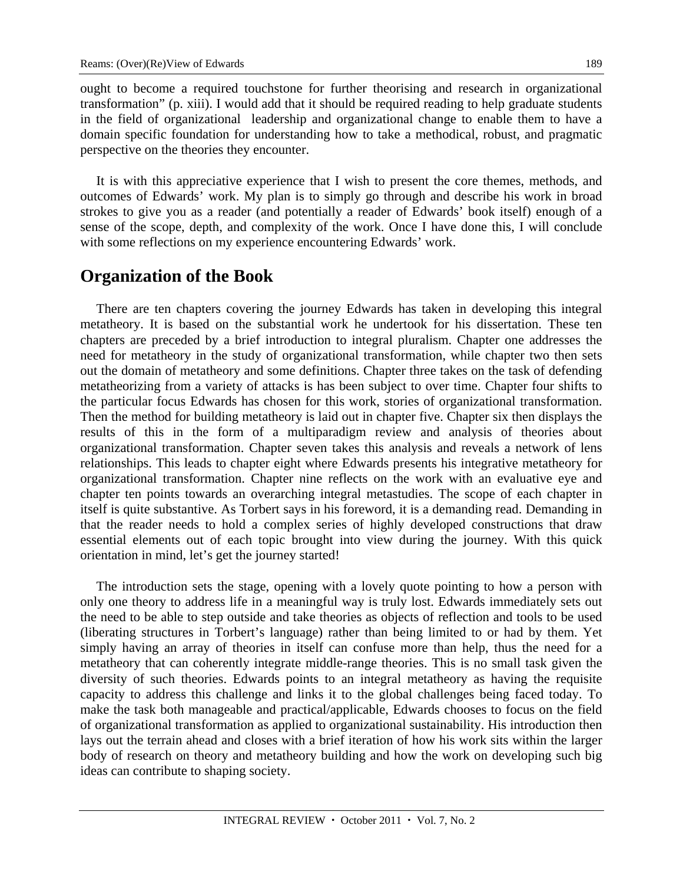ought to become a required touchstone for further theorising and research in organizational transformation" (p. xiii). I would add that it should be required reading to help graduate students in the field of organizational leadership and organizational change to enable them to have a domain specific foundation for understanding how to take a methodical, robust, and pragmatic perspective on the theories they encounter.

It is with this appreciative experience that I wish to present the core themes, methods, and outcomes of Edwards' work. My plan is to simply go through and describe his work in broad strokes to give you as a reader (and potentially a reader of Edwards' book itself) enough of a sense of the scope, depth, and complexity of the work. Once I have done this, I will conclude with some reflections on my experience encountering Edwards' work.

### **Organization of the Book**

There are ten chapters covering the journey Edwards has taken in developing this integral metatheory. It is based on the substantial work he undertook for his dissertation. These ten chapters are preceded by a brief introduction to integral pluralism. Chapter one addresses the need for metatheory in the study of organizational transformation, while chapter two then sets out the domain of metatheory and some definitions. Chapter three takes on the task of defending metatheorizing from a variety of attacks is has been subject to over time. Chapter four shifts to the particular focus Edwards has chosen for this work, stories of organizational transformation. Then the method for building metatheory is laid out in chapter five. Chapter six then displays the results of this in the form of a multiparadigm review and analysis of theories about organizational transformation. Chapter seven takes this analysis and reveals a network of lens relationships. This leads to chapter eight where Edwards presents his integrative metatheory for organizational transformation. Chapter nine reflects on the work with an evaluative eye and chapter ten points towards an overarching integral metastudies. The scope of each chapter in itself is quite substantive. As Torbert says in his foreword, it is a demanding read. Demanding in that the reader needs to hold a complex series of highly developed constructions that draw essential elements out of each topic brought into view during the journey. With this quick orientation in mind, let's get the journey started!

The introduction sets the stage, opening with a lovely quote pointing to how a person with only one theory to address life in a meaningful way is truly lost. Edwards immediately sets out the need to be able to step outside and take theories as objects of reflection and tools to be used (liberating structures in Torbert's language) rather than being limited to or had by them. Yet simply having an array of theories in itself can confuse more than help, thus the need for a metatheory that can coherently integrate middle-range theories. This is no small task given the diversity of such theories. Edwards points to an integral metatheory as having the requisite capacity to address this challenge and links it to the global challenges being faced today. To make the task both manageable and practical/applicable, Edwards chooses to focus on the field of organizational transformation as applied to organizational sustainability. His introduction then lays out the terrain ahead and closes with a brief iteration of how his work sits within the larger body of research on theory and metatheory building and how the work on developing such big ideas can contribute to shaping society.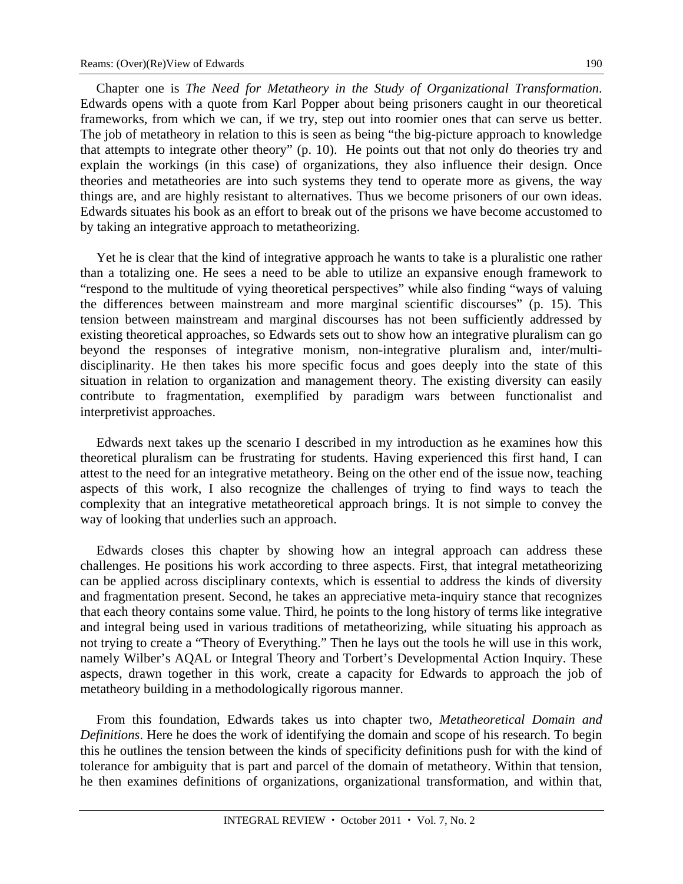Chapter one is *The Need for Metatheory in the Study of Organizational Transformation*. Edwards opens with a quote from Karl Popper about being prisoners caught in our theoretical frameworks, from which we can, if we try, step out into roomier ones that can serve us better. The job of metatheory in relation to this is seen as being "the big-picture approach to knowledge that attempts to integrate other theory" (p. 10). He points out that not only do theories try and explain the workings (in this case) of organizations, they also influence their design. Once theories and metatheories are into such systems they tend to operate more as givens, the way things are, and are highly resistant to alternatives. Thus we become prisoners of our own ideas. Edwards situates his book as an effort to break out of the prisons we have become accustomed to by taking an integrative approach to metatheorizing.

Yet he is clear that the kind of integrative approach he wants to take is a pluralistic one rather than a totalizing one. He sees a need to be able to utilize an expansive enough framework to "respond to the multitude of vying theoretical perspectives" while also finding "ways of valuing the differences between mainstream and more marginal scientific discourses" (p. 15). This tension between mainstream and marginal discourses has not been sufficiently addressed by existing theoretical approaches, so Edwards sets out to show how an integrative pluralism can go beyond the responses of integrative monism, non-integrative pluralism and, inter/multidisciplinarity. He then takes his more specific focus and goes deeply into the state of this situation in relation to organization and management theory. The existing diversity can easily contribute to fragmentation, exemplified by paradigm wars between functionalist and interpretivist approaches.

Edwards next takes up the scenario I described in my introduction as he examines how this theoretical pluralism can be frustrating for students. Having experienced this first hand, I can attest to the need for an integrative metatheory. Being on the other end of the issue now, teaching aspects of this work, I also recognize the challenges of trying to find ways to teach the complexity that an integrative metatheoretical approach brings. It is not simple to convey the way of looking that underlies such an approach.

Edwards closes this chapter by showing how an integral approach can address these challenges. He positions his work according to three aspects. First, that integral metatheorizing can be applied across disciplinary contexts, which is essential to address the kinds of diversity and fragmentation present. Second, he takes an appreciative meta-inquiry stance that recognizes that each theory contains some value. Third, he points to the long history of terms like integrative and integral being used in various traditions of metatheorizing, while situating his approach as not trying to create a "Theory of Everything." Then he lays out the tools he will use in this work, namely Wilber's AQAL or Integral Theory and Torbert's Developmental Action Inquiry. These aspects, drawn together in this work, create a capacity for Edwards to approach the job of metatheory building in a methodologically rigorous manner.

From this foundation, Edwards takes us into chapter two, *Metatheoretical Domain and Definitions*. Here he does the work of identifying the domain and scope of his research. To begin this he outlines the tension between the kinds of specificity definitions push for with the kind of tolerance for ambiguity that is part and parcel of the domain of metatheory. Within that tension, he then examines definitions of organizations, organizational transformation, and within that,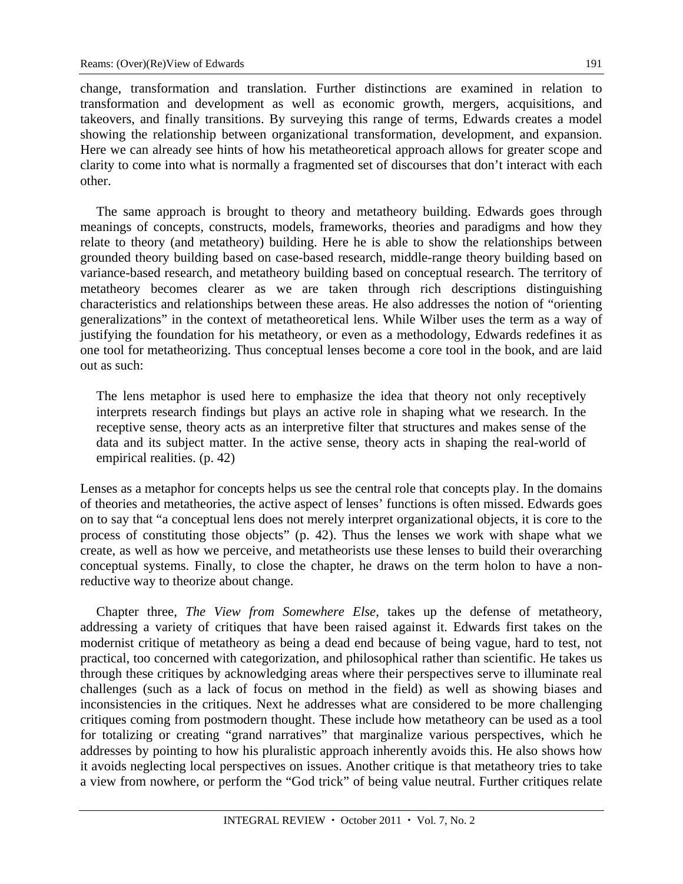change, transformation and translation. Further distinctions are examined in relation to transformation and development as well as economic growth, mergers, acquisitions, and takeovers, and finally transitions. By surveying this range of terms, Edwards creates a model showing the relationship between organizational transformation, development, and expansion. Here we can already see hints of how his metatheoretical approach allows for greater scope and clarity to come into what is normally a fragmented set of discourses that don't interact with each other.

The same approach is brought to theory and metatheory building. Edwards goes through meanings of concepts, constructs, models, frameworks, theories and paradigms and how they relate to theory (and metatheory) building. Here he is able to show the relationships between grounded theory building based on case-based research, middle-range theory building based on variance-based research, and metatheory building based on conceptual research. The territory of metatheory becomes clearer as we are taken through rich descriptions distinguishing characteristics and relationships between these areas. He also addresses the notion of "orienting generalizations" in the context of metatheoretical lens. While Wilber uses the term as a way of justifying the foundation for his metatheory, or even as a methodology, Edwards redefines it as one tool for metatheorizing. Thus conceptual lenses become a core tool in the book, and are laid out as such:

The lens metaphor is used here to emphasize the idea that theory not only receptively interprets research findings but plays an active role in shaping what we research. In the receptive sense, theory acts as an interpretive filter that structures and makes sense of the data and its subject matter. In the active sense, theory acts in shaping the real-world of empirical realities. (p. 42)

Lenses as a metaphor for concepts helps us see the central role that concepts play. In the domains of theories and metatheories, the active aspect of lenses' functions is often missed. Edwards goes on to say that "a conceptual lens does not merely interpret organizational objects, it is core to the process of constituting those objects" (p. 42). Thus the lenses we work with shape what we create, as well as how we perceive, and metatheorists use these lenses to build their overarching conceptual systems. Finally, to close the chapter, he draws on the term holon to have a nonreductive way to theorize about change.

Chapter three, *The View from Somewhere Else*, takes up the defense of metatheory, addressing a variety of critiques that have been raised against it. Edwards first takes on the modernist critique of metatheory as being a dead end because of being vague, hard to test, not practical, too concerned with categorization, and philosophical rather than scientific. He takes us through these critiques by acknowledging areas where their perspectives serve to illuminate real challenges (such as a lack of focus on method in the field) as well as showing biases and inconsistencies in the critiques. Next he addresses what are considered to be more challenging critiques coming from postmodern thought. These include how metatheory can be used as a tool for totalizing or creating "grand narratives" that marginalize various perspectives, which he addresses by pointing to how his pluralistic approach inherently avoids this. He also shows how it avoids neglecting local perspectives on issues. Another critique is that metatheory tries to take a view from nowhere, or perform the "God trick" of being value neutral. Further critiques relate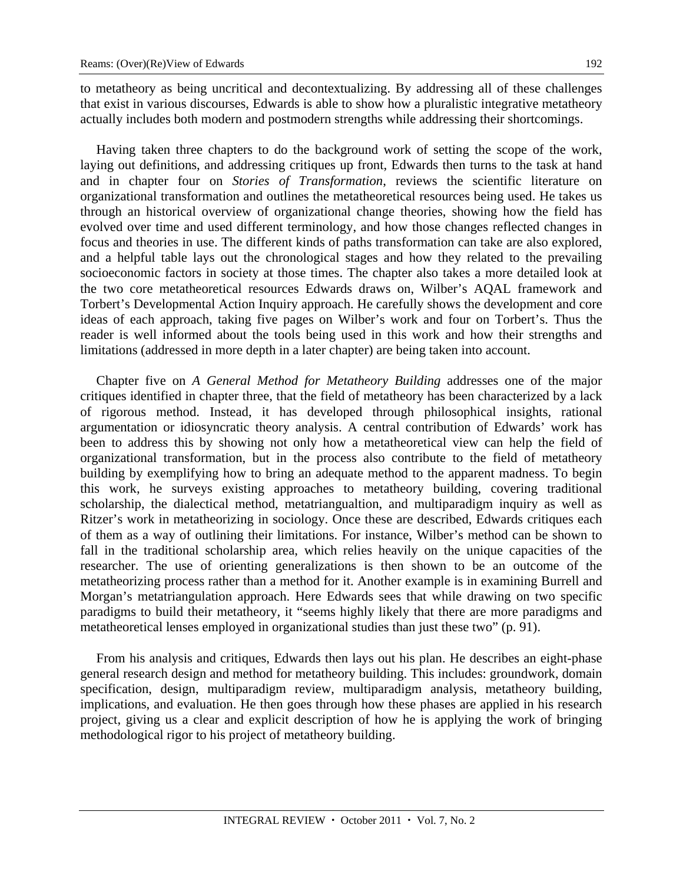to metatheory as being uncritical and decontextualizing. By addressing all of these challenges that exist in various discourses, Edwards is able to show how a pluralistic integrative metatheory actually includes both modern and postmodern strengths while addressing their shortcomings.

Having taken three chapters to do the background work of setting the scope of the work, laying out definitions, and addressing critiques up front, Edwards then turns to the task at hand and in chapter four on *Stories of Transformation*, reviews the scientific literature on organizational transformation and outlines the metatheoretical resources being used. He takes us through an historical overview of organizational change theories, showing how the field has evolved over time and used different terminology, and how those changes reflected changes in focus and theories in use. The different kinds of paths transformation can take are also explored, and a helpful table lays out the chronological stages and how they related to the prevailing socioeconomic factors in society at those times. The chapter also takes a more detailed look at the two core metatheoretical resources Edwards draws on, Wilber's AQAL framework and Torbert's Developmental Action Inquiry approach. He carefully shows the development and core ideas of each approach, taking five pages on Wilber's work and four on Torbert's. Thus the reader is well informed about the tools being used in this work and how their strengths and limitations (addressed in more depth in a later chapter) are being taken into account.

Chapter five on *A General Method for Metatheory Building* addresses one of the major critiques identified in chapter three, that the field of metatheory has been characterized by a lack of rigorous method. Instead, it has developed through philosophical insights, rational argumentation or idiosyncratic theory analysis. A central contribution of Edwards' work has been to address this by showing not only how a metatheoretical view can help the field of organizational transformation, but in the process also contribute to the field of metatheory building by exemplifying how to bring an adequate method to the apparent madness. To begin this work, he surveys existing approaches to metatheory building, covering traditional scholarship, the dialectical method, metatriangualtion, and multiparadigm inquiry as well as Ritzer's work in metatheorizing in sociology. Once these are described, Edwards critiques each of them as a way of outlining their limitations. For instance, Wilber's method can be shown to fall in the traditional scholarship area, which relies heavily on the unique capacities of the researcher. The use of orienting generalizations is then shown to be an outcome of the metatheorizing process rather than a method for it. Another example is in examining Burrell and Morgan's metatriangulation approach. Here Edwards sees that while drawing on two specific paradigms to build their metatheory, it "seems highly likely that there are more paradigms and metatheoretical lenses employed in organizational studies than just these two" (p. 91).

From his analysis and critiques, Edwards then lays out his plan. He describes an eight-phase general research design and method for metatheory building. This includes: groundwork, domain specification, design, multiparadigm review, multiparadigm analysis, metatheory building, implications, and evaluation. He then goes through how these phases are applied in his research project, giving us a clear and explicit description of how he is applying the work of bringing methodological rigor to his project of metatheory building.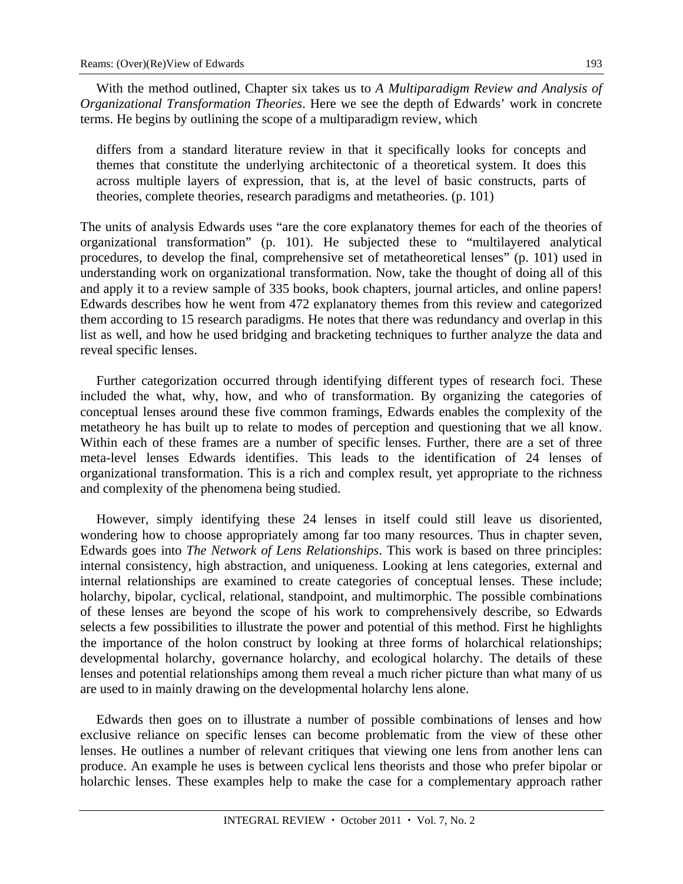With the method outlined, Chapter six takes us to *A Multiparadigm Review and Analysis of Organizational Transformation Theories*. Here we see the depth of Edwards' work in concrete terms. He begins by outlining the scope of a multiparadigm review, which

differs from a standard literature review in that it specifically looks for concepts and themes that constitute the underlying architectonic of a theoretical system. It does this across multiple layers of expression, that is, at the level of basic constructs, parts of theories, complete theories, research paradigms and metatheories. (p. 101)

The units of analysis Edwards uses "are the core explanatory themes for each of the theories of organizational transformation" (p. 101). He subjected these to "multilayered analytical procedures, to develop the final, comprehensive set of metatheoretical lenses" (p. 101) used in understanding work on organizational transformation. Now, take the thought of doing all of this and apply it to a review sample of 335 books, book chapters, journal articles, and online papers! Edwards describes how he went from 472 explanatory themes from this review and categorized them according to 15 research paradigms. He notes that there was redundancy and overlap in this list as well, and how he used bridging and bracketing techniques to further analyze the data and reveal specific lenses.

Further categorization occurred through identifying different types of research foci. These included the what, why, how, and who of transformation. By organizing the categories of conceptual lenses around these five common framings, Edwards enables the complexity of the metatheory he has built up to relate to modes of perception and questioning that we all know. Within each of these frames are a number of specific lenses. Further, there are a set of three meta-level lenses Edwards identifies. This leads to the identification of 24 lenses of organizational transformation. This is a rich and complex result, yet appropriate to the richness and complexity of the phenomena being studied.

However, simply identifying these 24 lenses in itself could still leave us disoriented, wondering how to choose appropriately among far too many resources. Thus in chapter seven, Edwards goes into *The Network of Lens Relationships*. This work is based on three principles: internal consistency, high abstraction, and uniqueness. Looking at lens categories, external and internal relationships are examined to create categories of conceptual lenses. These include; holarchy, bipolar, cyclical, relational, standpoint, and multimorphic. The possible combinations of these lenses are beyond the scope of his work to comprehensively describe, so Edwards selects a few possibilities to illustrate the power and potential of this method. First he highlights the importance of the holon construct by looking at three forms of holarchical relationships; developmental holarchy, governance holarchy, and ecological holarchy. The details of these lenses and potential relationships among them reveal a much richer picture than what many of us are used to in mainly drawing on the developmental holarchy lens alone.

Edwards then goes on to illustrate a number of possible combinations of lenses and how exclusive reliance on specific lenses can become problematic from the view of these other lenses. He outlines a number of relevant critiques that viewing one lens from another lens can produce. An example he uses is between cyclical lens theorists and those who prefer bipolar or holarchic lenses. These examples help to make the case for a complementary approach rather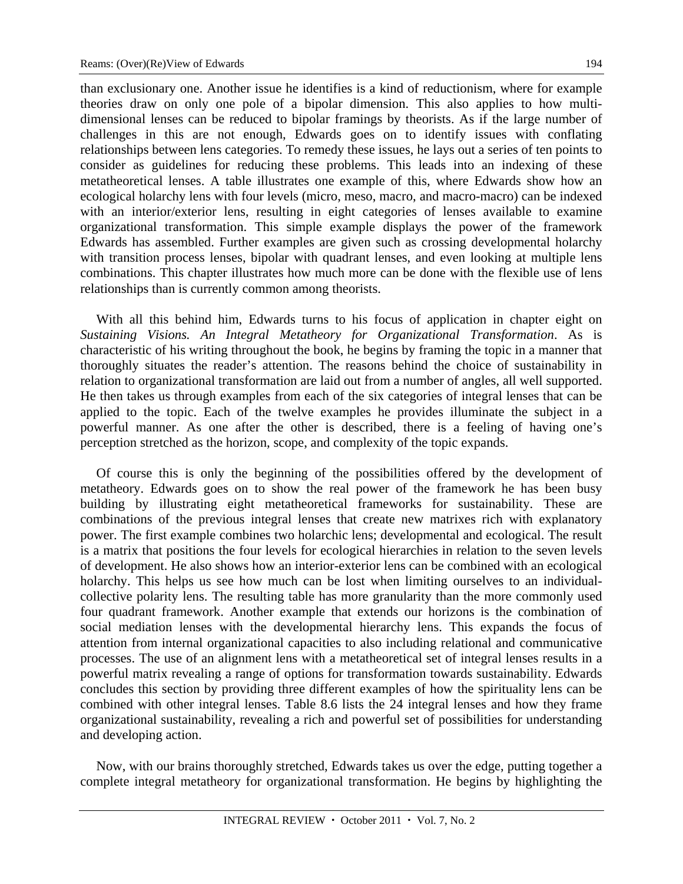than exclusionary one. Another issue he identifies is a kind of reductionism, where for example theories draw on only one pole of a bipolar dimension. This also applies to how multidimensional lenses can be reduced to bipolar framings by theorists. As if the large number of challenges in this are not enough, Edwards goes on to identify issues with conflating relationships between lens categories. To remedy these issues, he lays out a series of ten points to consider as guidelines for reducing these problems. This leads into an indexing of these metatheoretical lenses. A table illustrates one example of this, where Edwards show how an ecological holarchy lens with four levels (micro, meso, macro, and macro-macro) can be indexed with an interior/exterior lens, resulting in eight categories of lenses available to examine organizational transformation. This simple example displays the power of the framework Edwards has assembled. Further examples are given such as crossing developmental holarchy with transition process lenses, bipolar with quadrant lenses, and even looking at multiple lens combinations. This chapter illustrates how much more can be done with the flexible use of lens relationships than is currently common among theorists.

With all this behind him, Edwards turns to his focus of application in chapter eight on *Sustaining Visions. An Integral Metatheory for Organizational Transformation*. As is characteristic of his writing throughout the book, he begins by framing the topic in a manner that thoroughly situates the reader's attention. The reasons behind the choice of sustainability in relation to organizational transformation are laid out from a number of angles, all well supported. He then takes us through examples from each of the six categories of integral lenses that can be applied to the topic. Each of the twelve examples he provides illuminate the subject in a powerful manner. As one after the other is described, there is a feeling of having one's perception stretched as the horizon, scope, and complexity of the topic expands.

Of course this is only the beginning of the possibilities offered by the development of metatheory. Edwards goes on to show the real power of the framework he has been busy building by illustrating eight metatheoretical frameworks for sustainability. These are combinations of the previous integral lenses that create new matrixes rich with explanatory power. The first example combines two holarchic lens; developmental and ecological. The result is a matrix that positions the four levels for ecological hierarchies in relation to the seven levels of development. He also shows how an interior-exterior lens can be combined with an ecological holarchy. This helps us see how much can be lost when limiting ourselves to an individualcollective polarity lens. The resulting table has more granularity than the more commonly used four quadrant framework. Another example that extends our horizons is the combination of social mediation lenses with the developmental hierarchy lens. This expands the focus of attention from internal organizational capacities to also including relational and communicative processes. The use of an alignment lens with a metatheoretical set of integral lenses results in a powerful matrix revealing a range of options for transformation towards sustainability. Edwards concludes this section by providing three different examples of how the spirituality lens can be combined with other integral lenses. Table 8.6 lists the 24 integral lenses and how they frame organizational sustainability, revealing a rich and powerful set of possibilities for understanding and developing action.

Now, with our brains thoroughly stretched, Edwards takes us over the edge, putting together a complete integral metatheory for organizational transformation. He begins by highlighting the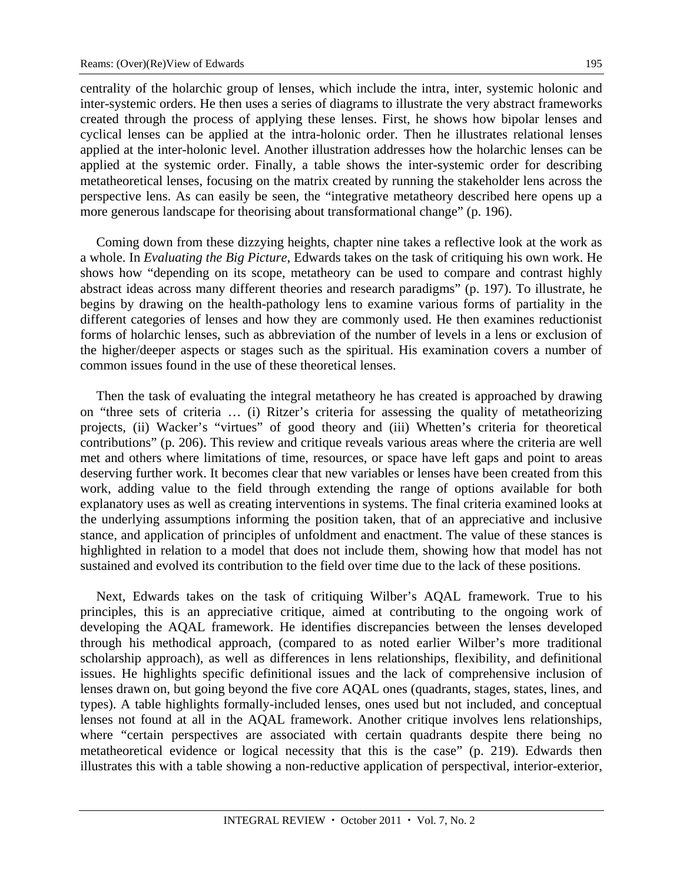centrality of the holarchic group of lenses, which include the intra, inter, systemic holonic and inter-systemic orders. He then uses a series of diagrams to illustrate the very abstract frameworks created through the process of applying these lenses. First, he shows how bipolar lenses and cyclical lenses can be applied at the intra-holonic order. Then he illustrates relational lenses applied at the inter-holonic level. Another illustration addresses how the holarchic lenses can be applied at the systemic order. Finally, a table shows the inter-systemic order for describing metatheoretical lenses, focusing on the matrix created by running the stakeholder lens across the perspective lens. As can easily be seen, the "integrative metatheory described here opens up a more generous landscape for theorising about transformational change" (p. 196).

Coming down from these dizzying heights, chapter nine takes a reflective look at the work as a whole. In *Evaluating the Big Picture*, Edwards takes on the task of critiquing his own work. He shows how "depending on its scope, metatheory can be used to compare and contrast highly abstract ideas across many different theories and research paradigms" (p. 197). To illustrate, he begins by drawing on the health-pathology lens to examine various forms of partiality in the different categories of lenses and how they are commonly used. He then examines reductionist forms of holarchic lenses, such as abbreviation of the number of levels in a lens or exclusion of the higher/deeper aspects or stages such as the spiritual. His examination covers a number of common issues found in the use of these theoretical lenses.

Then the task of evaluating the integral metatheory he has created is approached by drawing on "three sets of criteria … (i) Ritzer's criteria for assessing the quality of metatheorizing projects, (ii) Wacker's "virtues" of good theory and (iii) Whetten's criteria for theoretical contributions" (p. 206). This review and critique reveals various areas where the criteria are well met and others where limitations of time, resources, or space have left gaps and point to areas deserving further work. It becomes clear that new variables or lenses have been created from this work, adding value to the field through extending the range of options available for both explanatory uses as well as creating interventions in systems. The final criteria examined looks at the underlying assumptions informing the position taken, that of an appreciative and inclusive stance, and application of principles of unfoldment and enactment. The value of these stances is highlighted in relation to a model that does not include them, showing how that model has not sustained and evolved its contribution to the field over time due to the lack of these positions.

Next, Edwards takes on the task of critiquing Wilber's AQAL framework. True to his principles, this is an appreciative critique, aimed at contributing to the ongoing work of developing the AQAL framework. He identifies discrepancies between the lenses developed through his methodical approach, (compared to as noted earlier Wilber's more traditional scholarship approach), as well as differences in lens relationships, flexibility, and definitional issues. He highlights specific definitional issues and the lack of comprehensive inclusion of lenses drawn on, but going beyond the five core AQAL ones (quadrants, stages, states, lines, and types). A table highlights formally-included lenses, ones used but not included, and conceptual lenses not found at all in the AQAL framework. Another critique involves lens relationships, where "certain perspectives are associated with certain quadrants despite there being no metatheoretical evidence or logical necessity that this is the case" (p. 219). Edwards then illustrates this with a table showing a non-reductive application of perspectival, interior-exterior,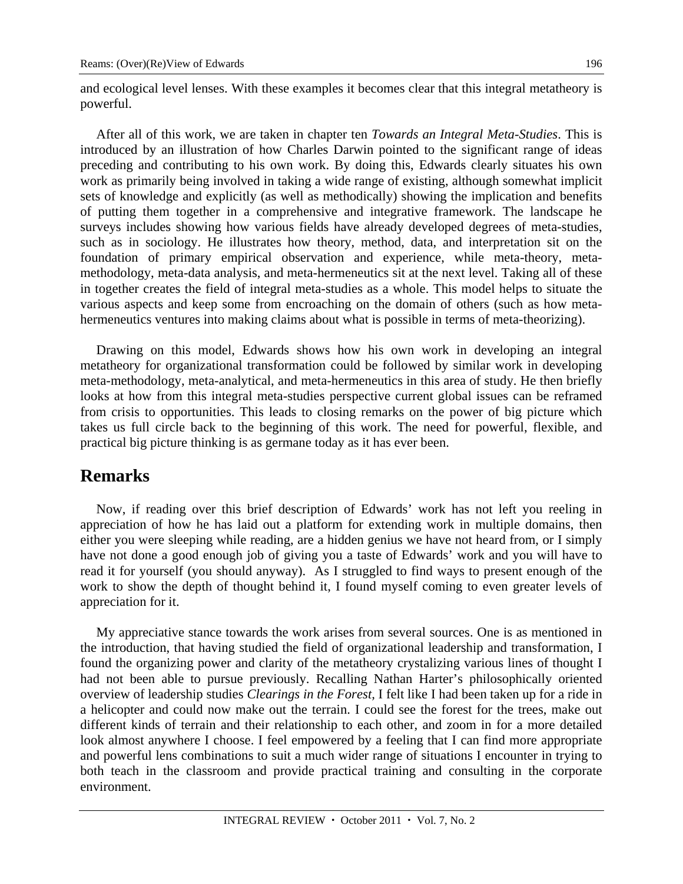and ecological level lenses. With these examples it becomes clear that this integral metatheory is powerful.

After all of this work, we are taken in chapter ten *Towards an Integral Meta-Studies*. This is introduced by an illustration of how Charles Darwin pointed to the significant range of ideas preceding and contributing to his own work. By doing this, Edwards clearly situates his own work as primarily being involved in taking a wide range of existing, although somewhat implicit sets of knowledge and explicitly (as well as methodically) showing the implication and benefits of putting them together in a comprehensive and integrative framework. The landscape he surveys includes showing how various fields have already developed degrees of meta-studies, such as in sociology. He illustrates how theory, method, data, and interpretation sit on the foundation of primary empirical observation and experience, while meta-theory, metamethodology, meta-data analysis, and meta-hermeneutics sit at the next level. Taking all of these in together creates the field of integral meta-studies as a whole. This model helps to situate the various aspects and keep some from encroaching on the domain of others (such as how metahermeneutics ventures into making claims about what is possible in terms of meta-theorizing).

Drawing on this model, Edwards shows how his own work in developing an integral metatheory for organizational transformation could be followed by similar work in developing meta-methodology, meta-analytical, and meta-hermeneutics in this area of study. He then briefly looks at how from this integral meta-studies perspective current global issues can be reframed from crisis to opportunities. This leads to closing remarks on the power of big picture which takes us full circle back to the beginning of this work. The need for powerful, flexible, and practical big picture thinking is as germane today as it has ever been.

#### **Remarks**

Now, if reading over this brief description of Edwards' work has not left you reeling in appreciation of how he has laid out a platform for extending work in multiple domains, then either you were sleeping while reading, are a hidden genius we have not heard from, or I simply have not done a good enough job of giving you a taste of Edwards' work and you will have to read it for yourself (you should anyway). As I struggled to find ways to present enough of the work to show the depth of thought behind it, I found myself coming to even greater levels of appreciation for it.

My appreciative stance towards the work arises from several sources. One is as mentioned in the introduction, that having studied the field of organizational leadership and transformation, I found the organizing power and clarity of the metatheory crystalizing various lines of thought I had not been able to pursue previously. Recalling Nathan Harter's philosophically oriented overview of leadership studies *Clearings in the Forest,* I felt like I had been taken up for a ride in a helicopter and could now make out the terrain. I could see the forest for the trees, make out different kinds of terrain and their relationship to each other, and zoom in for a more detailed look almost anywhere I choose. I feel empowered by a feeling that I can find more appropriate and powerful lens combinations to suit a much wider range of situations I encounter in trying to both teach in the classroom and provide practical training and consulting in the corporate environment.